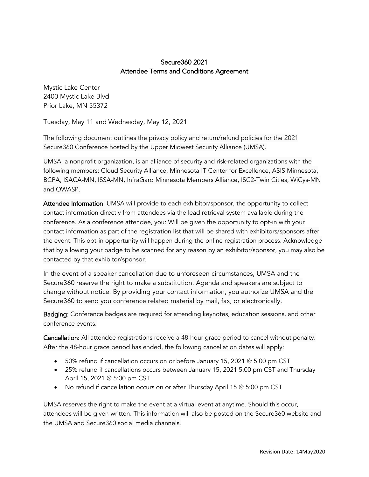## Secure360 2021 Attendee Terms and Conditions Agreement

Mystic Lake Center 2400 Mystic Lake Blvd Prior Lake, MN 55372

Tuesday, May 11 and Wednesday, May 12, 2021

The following document outlines the privacy policy and return/refund policies for the 2021 Secure360 Conference hosted by the Upper Midwest Security Alliance (UMSA).

UMSA, a nonprofit organization, is an alliance of security and risk-related organizations with the following members: Cloud Security Alliance, Minnesota IT Center for Excellence, ASIS Minnesota, BCPA, ISACA-MN, ISSA-MN, InfraGard Minnesota Members Alliance, ISC2-Twin Cities, WiCys-MN and OWASP.

Attendee Information: UMSA will provide to each exhibitor/sponsor, the opportunity to collect contact information directly from attendees via the lead retrieval system available during the conference. As a conference attendee, you: Will be given the opportunity to opt-in with your contact information as part of the registration list that will be shared with exhibitors/sponsors after the event. This opt-in opportunity will happen during the online registration process. Acknowledge that by allowing your badge to be scanned for any reason by an exhibitor/sponsor, you may also be contacted by that exhibitor/sponsor.

In the event of a speaker cancellation due to unforeseen circumstances, UMSA and the Secure360 reserve the right to make a substitution. Agenda and speakers are subject to change without notice. By providing your contact information, you authorize UMSA and the Secure360 to send you conference related material by mail, fax, or electronically.

Badging: Conference badges are required for attending keynotes, education sessions, and other conference events.

Cancellation: All attendee registrations receive a 48-hour grace period to cancel without penalty. After the 48-hour grace period has ended, the following cancellation dates will apply:

- 50% refund if cancellation occurs on or before January 15, 2021 @ 5:00 pm CST
- 25% refund if cancellations occurs between January 15, 2021 5:00 pm CST and Thursday April 15, 2021 @ 5:00 pm CST
- No refund if cancellation occurs on or after Thursday April 15 @ 5:00 pm CST

UMSA reserves the right to make the event at a virtual event at anytime. Should this occur, attendees will be given written. This information will also be posted on the Secure360 website and the UMSA and Secure360 social media channels.